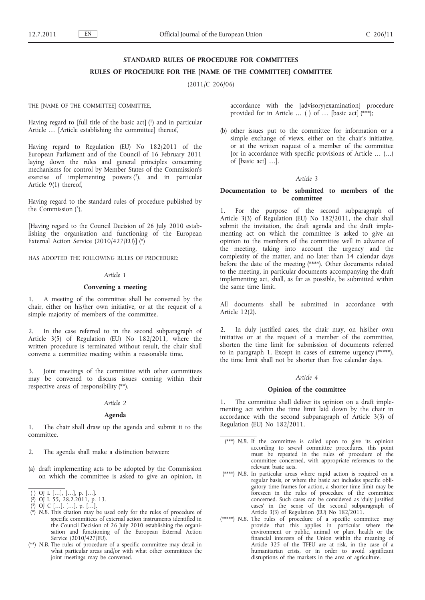# **STANDARD RULES OF PROCEDURE FOR COMMITTEES**

# **RULES OF PROCEDURE FOR THE [NAME OF THE COMMITTEE] COMMITTEE**

(2011/C 206/06)

THE [NAME OF THE COMMITTEE] COMMITTEE,

Having regard to [full title of the basic act]  $(1)$  and in particular Article … [Article establishing the committee] thereof,

Having regard to Regulation (EU) No 182/2011 of the European Parliament and of the Council of 16 February 2011 laying down the rules and general principles concerning mechanisms for control by Member States of the Commission's exercise of implementing powers  $(2)$ , and in particular Article 9(1) thereof,

Having regard to the standard rules of procedure published by the Commission  $(3)$ ,

[Having regard to the Council Decision of 26 July 2010 establishing the organisation and functioning of the European External Action Service (2010/427/EU)] (\*)

HAS ADOPTED THE FOLLOWING RULES OF PROCEDURE:

#### *Article 1*

#### **Convening a meeting**

1. A meeting of the committee shall be convened by the chair, either on his/her own initiative, or at the request of a simple majority of members of the committee.

2. In the case referred to in the second subparagraph of Article 3(5) of Regulation (EU) No 182/2011, where the written procedure is terminated without result, the chair shall convene a committee meeting within a reasonable time.

Joint meetings of the committee with other committees may be convened to discuss issues coming within their respective areas of responsibility (\*\*).

# *Article 2*

# **Agenda**

1. The chair shall draw up the agenda and submit it to the committee.

2. The agenda shall make a distinction between:

(a) draft implementing acts to be adopted by the Commission on which the committee is asked to give an opinion, in

( 2) OJ L 55, 28.2.2011, p. 13.

- (\*) *N.B.* This citation may be used only for the rules of procedure of specific committees of external action instruments identified in the Council Decision of 26 July 2010 establishing the organisation and functioning of the European External Action Service (2010/427/EU).
- (\*\*) *N.B.* The rules of procedure of a specific committee may detail in what particular areas and/or with what other committees the joint meetings may be convened.

accordance with the [advisory/examination] procedure provided for in Article … ( ) of … [basic act] (\*\*\*);

(b) other issues put to the committee for information or a simple exchange of views, either on the chair's initiative, or at the written request of a member of the committee [or in accordance with specific provisions of Article … (…) of [basic act] …].

## *Article 3*

# **Documentation to be submitted to members of the committee**

1. For the purpose of the second subparagraph of Article 3(3) of Regulation (EU) No 182/2011, the chair shall submit the invitation, the draft agenda and the draft implementing act on which the committee is asked to give an opinion to the members of the committee well in advance of the meeting, taking into account the urgency and the complexity of the matter, and no later than 14 calendar days before the date of the meeting (\*\*\*\*). Other documents related to the meeting, in particular documents accompanying the draft implementing act, shall, as far as possible, be submitted within the same time limit.

All documents shall be submitted in accordance with Article 12(2).

2. In duly justified cases, the chair may, on his/her own initiative or at the request of a member of the committee, shorten the time limit for submission of documents referred to in paragraph 1. Except in cases of extreme urgency (\*\*\*\*\*), the time limit shall not be shorter than five calendar days.

## *Article 4*

## **Opinion of the committee**

The committee shall deliver its opinion on a draft implementing act within the time limit laid down by the chair in accordance with the second subparagraph of Article 3(3) of Regulation (EU) No 182/2011.

- (\*\*\*) *N.B.* If the committee is called upon to give its opinion according to *several* committee procedures, this point must be repeated in the rules of procedure of the committee concerned, with appropriate references to the relevant basic acts.
- (\*\*\*\*) *N.B.* In particular areas where rapid action is required on a regular basis, or where the basic act includes specific obligatory time frames for action, a shorter time limit may be foreseen in the rules of procedure of the committee concerned. Such cases can be considered as 'duly justified cases' in the sense of the second subparagraph of Article 3(3) of Regulation (EU) No 182/2011.
- (\*\*\*\*\*) *N.B.* The rules of procedure of a specific committee may provide that this applies in particular where the environment or public, animal or plant health or the financial interests of the Union within the meaning of Article 325 of the TFEU are at risk, in the case of a humanitarian crisis, or in order to avoid significant disruptions of the markets in the area of agriculture.

<sup>(</sup> 1) OJ L […], […], p. […].

<sup>(</sup> 3) OJ C […], […], p. […].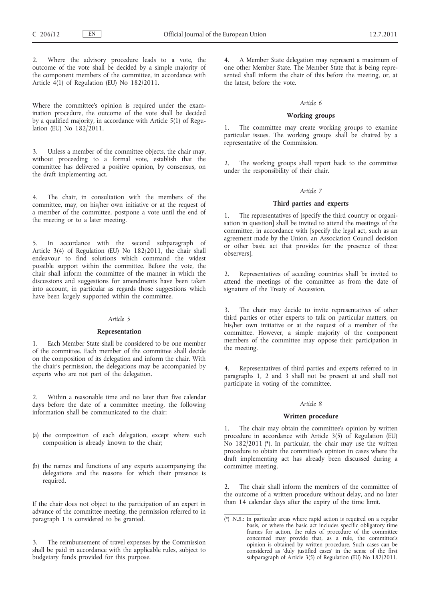Where the advisory procedure leads to a vote, the outcome of the vote shall be decided by a simple majority of the component members of the committee, in accordance with Article 4(1) of Regulation (EU) No 182/2011.

Where the committee's opinion is required under the examination procedure, the outcome of the vote shall be decided by a qualified majority, in accordance with Article 5(1) of Regulation (EU) No  $182/2011$ .

Unless a member of the committee objects, the chair may, without proceeding to a formal vote, establish that the committee has delivered a positive opinion, by consensus, on the draft implementing act.

4. The chair, in consultation with the members of the committee, may, on his/her own initiative or at the request of a member of the committee, postpone a vote until the end of the meeting or to a later meeting.

In accordance with the second subparagraph of Article 3(4) of Regulation (EU) No 182/2011, the chair shall endeavour to find solutions which command the widest possible support within the committee. Before the vote, the chair shall inform the committee of the manner in which the discussions and suggestions for amendments have been taken into account, in particular as regards those suggestions which have been largely supported within the committee.

## *Article 5*

## **Representation**

Each Member State shall be considered to be one member of the committee. Each member of the committee shall decide on the composition of its delegation and inform the chair. With the chair's permission, the delegations may be accompanied by experts who are not part of the delegation.

2. Within a reasonable time and no later than five calendar days before the date of a committee meeting, the following information shall be communicated to the chair:

- (a) the composition of each delegation, except where such composition is already known to the chair;
- (b) the names and functions of any experts accompanying the delegations and the reasons for which their presence is required.

If the chair does not object to the participation of an expert in advance of the committee meeting, the permission referred to in paragraph 1 is considered to be granted.

The reimbursement of travel expenses by the Commission shall be paid in accordance with the applicable rules, subject to budgetary funds provided for this purpose.

4. A Member State delegation may represent a maximum of one other Member State. The Member State that is being represented shall inform the chair of this before the meeting, or, at the latest, before the vote.

#### *Article 6*

### **Working groups**

The committee may create working groups to examine particular issues. The working groups shall be chaired by a representative of the Commission.

The working groups shall report back to the committee under the responsibility of their chair.

## *Article 7*

# **Third parties and experts**

1. The representatives of [specify the third country or organisation in question] shall be invited to attend the meetings of the committee, in accordance with [specify the legal act, such as an agreement made by the Union, an Association Council decision or other basic act that provides for the presence of these observers].

2. Representatives of acceding countries shall be invited to attend the meetings of the committee as from the date of signature of the Treaty of Accession.

The chair may decide to invite representatives of other third parties or other experts to talk on particular matters, on his/her own initiative or at the request of a member of the committee. However, a simple majority of the component members of the committee may oppose their participation in the meeting.

4. Representatives of third parties and experts referred to in paragraphs 1, 2 and 3 shall not be present at and shall not participate in voting of the committee.

# *Article 8*

# **Written procedure**

1. The chair may obtain the committee's opinion by written procedure in accordance with Article 3(5) of Regulation (EU) No 182/2011 (\*). In particular, the chair may use the written procedure to obtain the committee's opinion in cases where the draft implementing act has already been discussed during a committee meeting.

2. The chair shall inform the members of the committee of the outcome of a written procedure without delay, and no later than 14 calendar days after the expiry of the time limit.

<sup>(\*)</sup> *N.B.*: In particular areas where rapid action is required on a regular basis, or where the basic act includes specific obligatory time frames for action, the rules of procedure of the committee concerned may provide that, as a rule, the committee's opinion is obtained by written procedure. Such cases can be considered as 'duly justified cases' in the sense of the first subparagraph of Article 3(5) of Regulation (EU) No 182/2011.